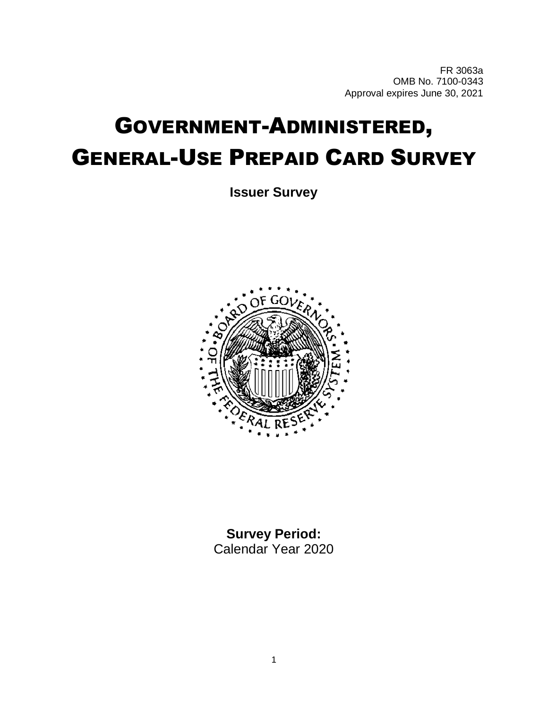FR 3063a OMB No. 7100-0343 Approval expires June 30, 2021

# GOVERNMENT-ADMINISTERED, GENERAL-USE PREPAID CARD SURVEY

**Issuer Survey**



**Survey Period:** Calendar Year 2020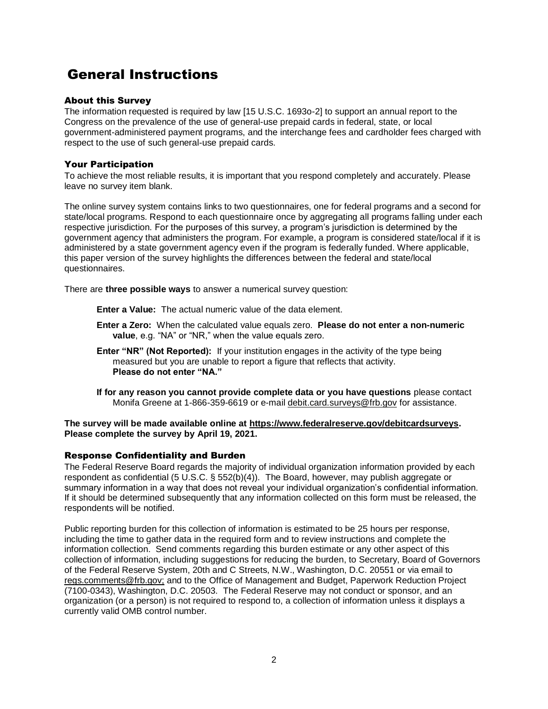### General Instructions

### About this Survey

The information requested is required by law [15 U.S.C. 1693o-2] to support an annual report to the Congress on the prevalence of the use of general-use prepaid cards in federal, state, or local government-administered payment programs, and the interchange fees and cardholder fees charged with respect to the use of such general-use prepaid cards.

#### Your Participation

To achieve the most reliable results, it is important that you respond completely and accurately. Please leave no survey item blank.

The online survey system contains links to two questionnaires, one for federal programs and a second for state/local programs. Respond to each questionnaire once by aggregating all programs falling under each respective jurisdiction. For the purposes of this survey, a program's jurisdiction is determined by the government agency that administers the program. For example, a program is considered state/local if it is administered by a state government agency even if the program is federally funded. Where applicable, this paper version of the survey highlights the differences between the federal and state/local questionnaires.

There are **three possible ways** to answer a numerical survey question:

**Enter a Value:** The actual numeric value of the data element.

- **Enter a Zero:** When the calculated value equals zero. **Please do not enter a non-numeric value**, e.g. "NA" or "NR," when the value equals zero.
- **Enter "NR" (Not Reported):** If your institution engages in the activity of the type being measured but you are unable to report a figure that reflects that activity. **Please do not enter "NA."**
- **If for any reason you cannot provide complete data or you have questions** please contact Monifa Greene at 1-866-359-6619 or e-mail [debit.card.surveys@frb.gov](mailto:debit.card.surveys@frb.gov) for assistance.

**The survey will be made available online at [https://www.federalreserve.gov/debitcardsurveys.](https://www.federalreserve.gov/debitcardsurveys) Please complete the survey by April 19, 2021.**

#### Response Confidentiality and Burden

The Federal Reserve Board regards the majority of individual organization information provided by each respondent as confidential (5 U.S.C. § 552(b)(4)). The Board, however, may publish aggregate or summary information in a way that does not reveal your individual organization's confidential information. If it should be determined subsequently that any information collected on this form must be released, the respondents will be notified.

Public reporting burden for this collection of information is estimated to be 25 hours per response, including the time to gather data in the required form and to review instructions and complete the information collection. Send comments regarding this burden estimate or any other aspect of this collection of information, including suggestions for reducing the burden, to Secretary, Board of Governors of the Federal Reserve System, 20th and C Streets, N.W., Washington, D.C. 20551 or via email to [regs.comments@frb.gov;](mailto:regs.comments@frb.gov) and to the Office of Management and Budget, Paperwork Reduction Project (7100-0343), Washington, D.C. 20503. The Federal Reserve may not conduct or sponsor, and an organization (or a person) is not required to respond to, a collection of information unless it displays a currently valid OMB control number.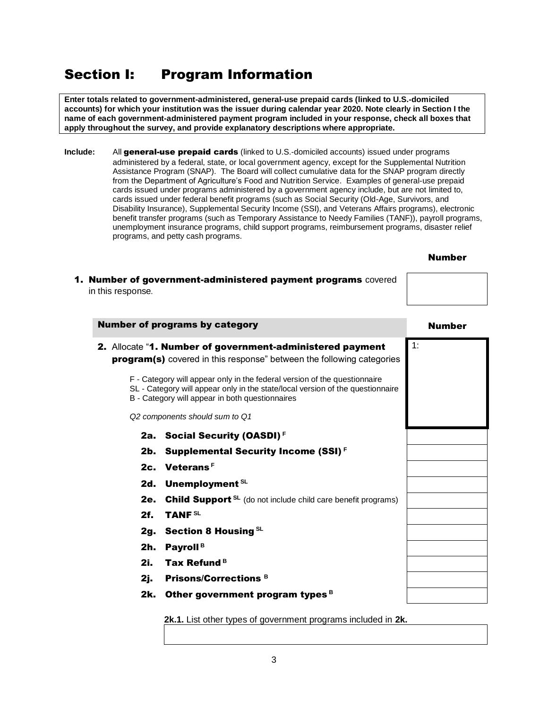### Section I: Program Information

**Enter totals related to government-administered, general-use prepaid cards (linked to U.S.-domiciled accounts) for which your institution was the issuer during calendar year 2020. Note clearly in Section I the name of each government-administered payment program included in your response, check all boxes that apply throughout the survey, and provide explanatory descriptions where appropriate.**

**Include:** All general-use prepaid cards (linked to U.S.-domiciled accounts) issued under programs administered by a federal, state, or local government agency, except for the Supplemental Nutrition Assistance Program (SNAP). The Board will collect cumulative data for the SNAP program directly from the Department of Agriculture's Food and Nutrition Service. Examples of general-use prepaid cards issued under programs administered by a government agency include, but are not limited to, cards issued under federal benefit programs (such as Social Security (Old-Age, Survivors, and Disability Insurance), Supplemental Security Income (SSI), and Veterans Affairs programs), electronic benefit transfer programs (such as Temporary Assistance to Needy Families (TANF)), payroll programs, unemployment insurance programs, child support programs, reimbursement programs, disaster relief programs, and petty cash programs.

#### Number

1. Number of government-administered payment programs covered in this response*.*

| <b>Number of programs by category</b>                                                                                                                                                                          | <b>Number</b>                                                                   |  |
|----------------------------------------------------------------------------------------------------------------------------------------------------------------------------------------------------------------|---------------------------------------------------------------------------------|--|
| 2. Allocate "1. Number of government-administered payment<br><b>program(s)</b> covered in this response" between the following categories                                                                      | 1:                                                                              |  |
| F - Category will appear only in the federal version of the questionnaire<br>SL - Category will appear only in the state/local version of the questionnaire<br>B - Category will appear in both questionnaires |                                                                                 |  |
|                                                                                                                                                                                                                | Q2 components should sum to Q1                                                  |  |
| 2a. Social Security (OASDI) <sup>F</sup>                                                                                                                                                                       |                                                                                 |  |
| 2b. Supplemental Security Income (SSI) <sup>F</sup>                                                                                                                                                            |                                                                                 |  |
| 2c. Veterans <sup>F</sup>                                                                                                                                                                                      |                                                                                 |  |
| 2d. Unemployment SL                                                                                                                                                                                            |                                                                                 |  |
| 2e.                                                                                                                                                                                                            | <b>Child Support</b> <sup>SL</sup> (do not include child care benefit programs) |  |
| 2f.                                                                                                                                                                                                            | <b>TANFSL</b>                                                                   |  |
|                                                                                                                                                                                                                | 2g. Section 8 Housing SL                                                        |  |
| Payroll <sup>B</sup><br>2h.                                                                                                                                                                                    |                                                                                 |  |
| 2i.                                                                                                                                                                                                            |                                                                                 |  |
| 2j.                                                                                                                                                                                                            | <b>Prisons/Corrections B</b>                                                    |  |
| 2k.                                                                                                                                                                                                            | Other government program types <sup>B</sup>                                     |  |
|                                                                                                                                                                                                                |                                                                                 |  |

**2k.1.** List other types of government programs included in **2k.**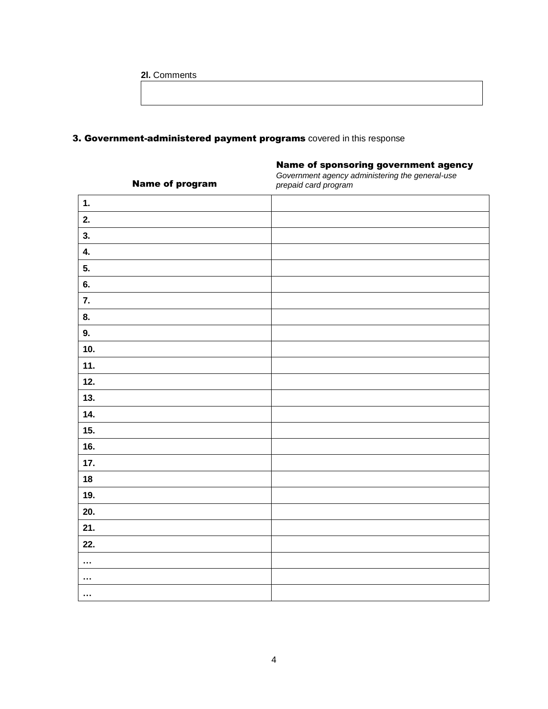**2l.** Comments

### 3. Government-administered payment programs covered in this response

| Name of program | Government agency administering the general-use<br>prepaid card program |
|-----------------|-------------------------------------------------------------------------|
| $\mathbf{1}$ .  |                                                                         |
| 2.              |                                                                         |
| 3.              |                                                                         |
| 4.              |                                                                         |
| 5.              |                                                                         |
| 6.              |                                                                         |
| 7.              |                                                                         |
| 8.              |                                                                         |
| 9.              |                                                                         |
| 10.             |                                                                         |
| 11.             |                                                                         |
| 12.             |                                                                         |
| 13.             |                                                                         |
| 14.             |                                                                         |
| 15.             |                                                                         |
| 16.             |                                                                         |
| 17.             |                                                                         |
| $18$            |                                                                         |
| 19.             |                                                                         |
| 20.             |                                                                         |
| 21.             |                                                                         |
| 22.             |                                                                         |
| $\cdots$        |                                                                         |
| $\cdots$        |                                                                         |
| $\sim$          |                                                                         |

Name of sponsoring government agency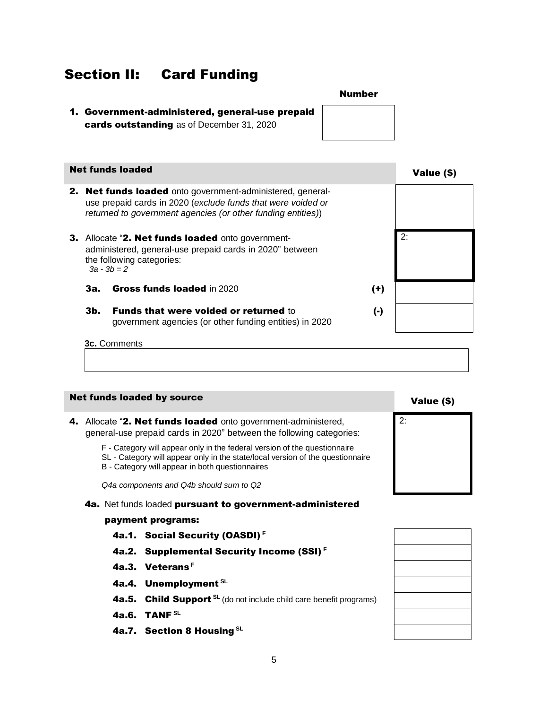### Section II: Card Funding

5

### 1. Government-administered, general-use prepaid cards outstanding as of December 31, 2020

## 2. Net funds loaded onto government-administered, generaluse prepaid cards in 2020 (*exclude funds that were voided or returned to government agencies (or other funding entities)*) 3. Allocate "2. Net funds loaded onto government-

### administered, general-use prepaid cards in 2020" between the following categories: *3a - 3b = 2*

 $3a.$  Gross funds loaded in 2020

3b. Funds that were voided or returned to government agencies (or other funding entities) in 2020

### **3c.** Comments

**Net funds loaded** 

### Net funds loaded by source Value (\$)

- 4. Allocate "2. Net funds loaded onto government-administered, general-use prepaid cards in 2020" between the following categories:
	- F Category will appear only in the federal version of the questionnaire
	- SL Category will appear only in the state/local version of the questionnaire B - Category will appear in both questionnaires

*Q4a components and Q4b should sum to Q2*

### 4a. Net funds loaded pursuant to government-administered

### payment programs:

- 4a.1. Social Security (OASDI) **<sup>F</sup>**
- 4a.2. Supplemental Security Income (SSI) **<sup>F</sup>**
- 4a.3. Veterans **<sup>F</sup>**
- 4a.4. Unemployment **SL**
- **4a.5. Child Support**<sup>SL</sup> (do not include child care benefit programs)
- 4a.6. TANF **SL**
- 4a.7. Section 8 Housing **SL**



|           | Value (\$)       |
|-----------|------------------|
|           |                  |
|           | $\overline{2}$ : |
| $(+)$     |                  |
| $(\cdot)$ |                  |

Number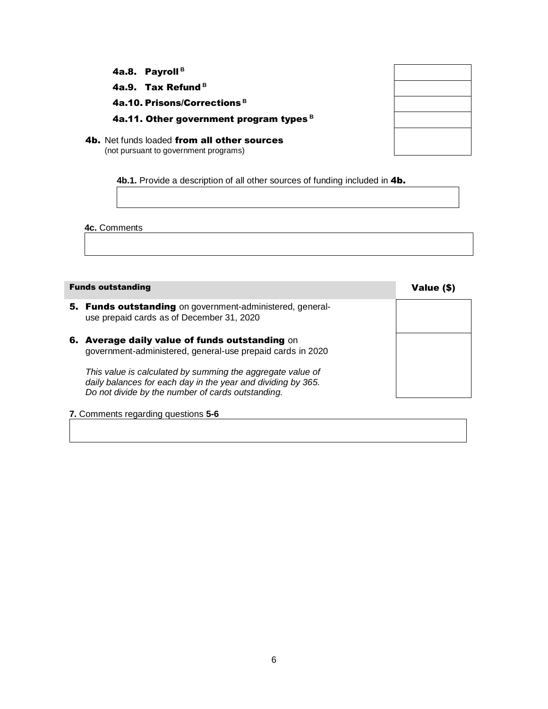4a.8. Payroll **<sup>B</sup>**

4a.9. Tax Refund **<sup>B</sup>**

4a.10. Prisons/Corrections **<sup>B</sup>**

4a.11. Other government program types **<sup>B</sup>**

### 4b. Net funds loaded from all other sources

(not pursuant to government programs)

**4b.1.** Provide a description of all other sources of funding included in 4b.

**4c.** Comments

| <b>5. Funds outstanding</b> on government-administered, general- |                                                                                                                                                                                                                                                                                                     |
|------------------------------------------------------------------|-----------------------------------------------------------------------------------------------------------------------------------------------------------------------------------------------------------------------------------------------------------------------------------------------------|
| use prepaid cards as of December 31, 2020                        |                                                                                                                                                                                                                                                                                                     |
|                                                                  |                                                                                                                                                                                                                                                                                                     |
|                                                                  |                                                                                                                                                                                                                                                                                                     |
|                                                                  | <b>Average daily value of funds outstanding on</b><br>government-administered, general-use prepaid cards in 2020<br>This value is calculated by summing the aggregate value of<br>daily balances for each day in the year and dividing by 365.<br>Do not divide by the number of cards outstanding. |

**7.** Comments regarding questions **5-6**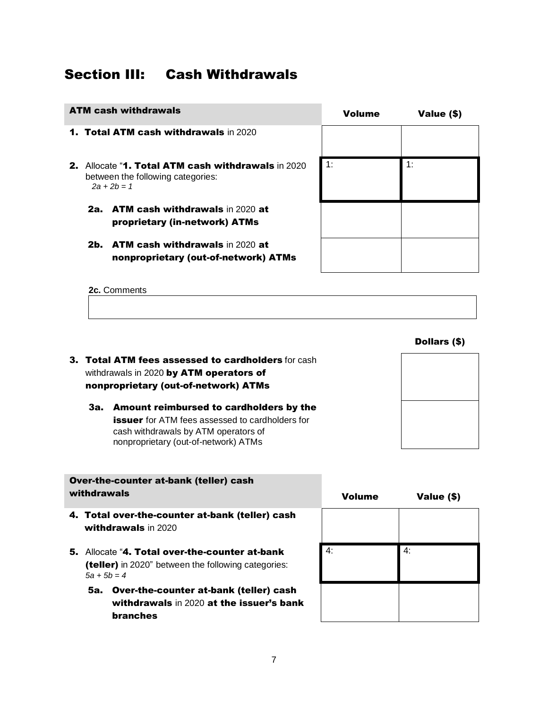### Section III: Cash Withdrawals

|                                                                                                                         | <b>ATM cash withdrawals</b>                                                    | Volume | Value (\$) |
|-------------------------------------------------------------------------------------------------------------------------|--------------------------------------------------------------------------------|--------|------------|
|                                                                                                                         | <b>1. Total ATM cash withdrawals in 2020</b>                                   |        |            |
| <b>2.</b> Allocate " <b>1. Total ATM cash withdrawals</b> in 2020<br>between the following categories:<br>$2a + 2b = 1$ |                                                                                | 1:     | 1:         |
|                                                                                                                         | <b>2a.</b> ATM cash withdrawals in 2020 at<br>proprietary (in-network) ATMs    |        |            |
| 2b. .                                                                                                                   | <b>ATM cash withdrawals in 2020 at</b><br>nonproprietary (out-of-network) ATMs |        |            |

#### **2c.** Comments

branches



### 3. Total ATM fees assessed to cardholders for cash withdrawals in 2020 by ATM operators of nonproprietary (out-of-network) ATMs

3a. Amount reimbursed to cardholders by the **issuer** for ATM fees assessed to cardholders for cash withdrawals by ATM operators of nonproprietary (out-of-network) ATMs



|    | Over-the-counter at-bank (teller) cash<br>withdrawals                                                                      | <b>Volume</b> | Value (\$) |
|----|----------------------------------------------------------------------------------------------------------------------------|---------------|------------|
|    | 4. Total over-the-counter at-bank (teller) cash<br>withdrawals in 2020                                                     |               |            |
| 5. | Allocate "4. Total over-the-counter at-bank<br><b>(teller)</b> in 2020" between the following categories:<br>$5a + 5b = 4$ | 4:            | 4:         |
|    | Over-the-counter at-bank (teller) cash<br>5а.<br>withdrawals in 2020 at the issuer's bank                                  |               |            |

| volume | Value (5) |
|--------|-----------|
|        |           |
|        |           |
| 4:     | 4:        |
|        |           |
|        |           |
|        |           |
|        |           |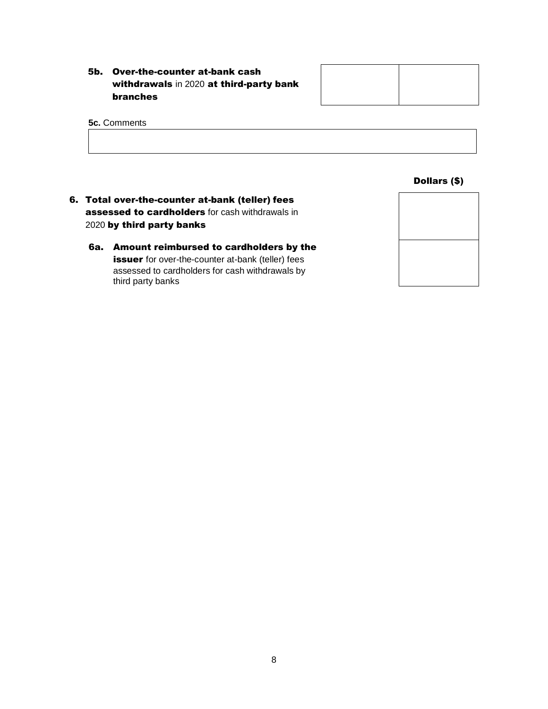5b. Over-the-counter at-bank cash withdrawals in 2020 at third-party bank branches

#### **5c.** Comments

Dollars (\$)

- 6. Total over-the-counter at-bank (teller) fees assessed to cardholders for cash withdrawals in 2020 by third party banks
	- 6a. Amount reimbursed to cardholders by the issuer for over-the-counter at-bank (teller) fees assessed to cardholders for cash withdrawals by third party banks

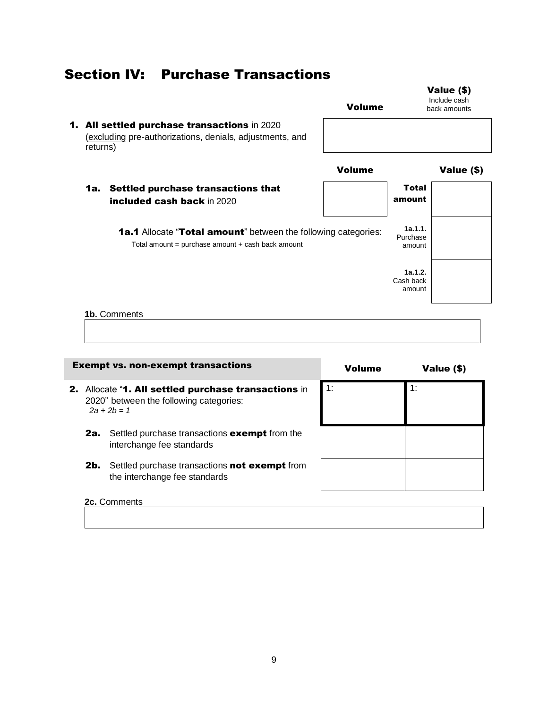### Section IV: Purchase Transactions Volume Value (\$) Include cash back amounts 1. All settled purchase transactions in 2020 (excluding pre-authorizations, denials, adjustments, and returns) Volume Value (\$) 1a. Settled purchase transactions that included cash back in 2020 Total amount 1a.1 Allocate "Total amount" between the following categories: Total amount = purchase amount + cash back amount **1a.1.1.** Purchase amount **1a.1.2.** Cash back amount **1b.** Comments

| טווסוווווסט ווא |  |
|-----------------|--|
|                 |  |
|                 |  |

|     | <b>Exempt vs. non-exempt transactions</b>                                                                        | <b>Volume</b> | Value (\$) |
|-----|------------------------------------------------------------------------------------------------------------------|---------------|------------|
|     | 2. Allocate "1. All settled purchase transactions in<br>2020" between the following categories:<br>$2a + 2b = 1$ | 1:            | 1:         |
| 2a. | Settled purchase transactions <b>exempt</b> from the<br>interchange fee standards                                |               |            |
| 2b. | Settled purchase transactions not exempt from<br>the interchange fee standards                                   |               |            |
|     |                                                                                                                  |               |            |

# **2c.** Comments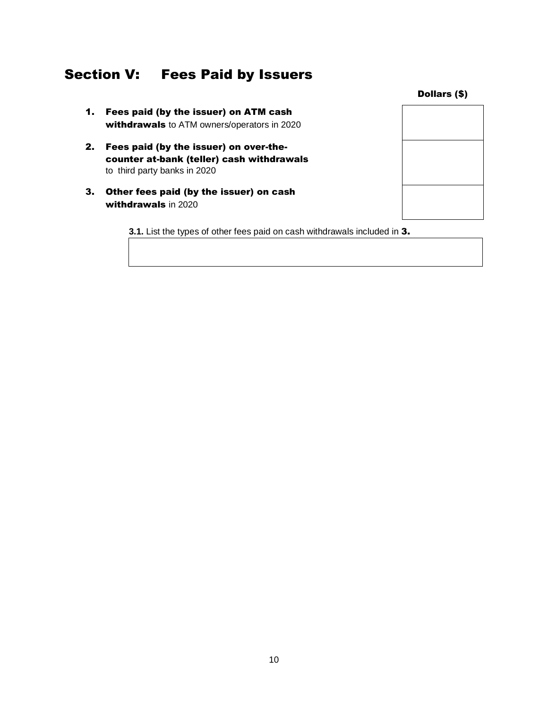### Section V: Fees Paid by Issuers

- 1. Fees paid (by the issuer) on ATM cash withdrawals to ATM owners/operators in 2020
- 2. Fees paid (by the issuer) on over-thecounter at-bank (teller) cash withdrawals to third party banks in 2020
- 3. Other fees paid (by the issuer) on cash withdrawals in 2020

Dollars (\$)

**3.1.** List the types of other fees paid on cash withdrawals included in 3.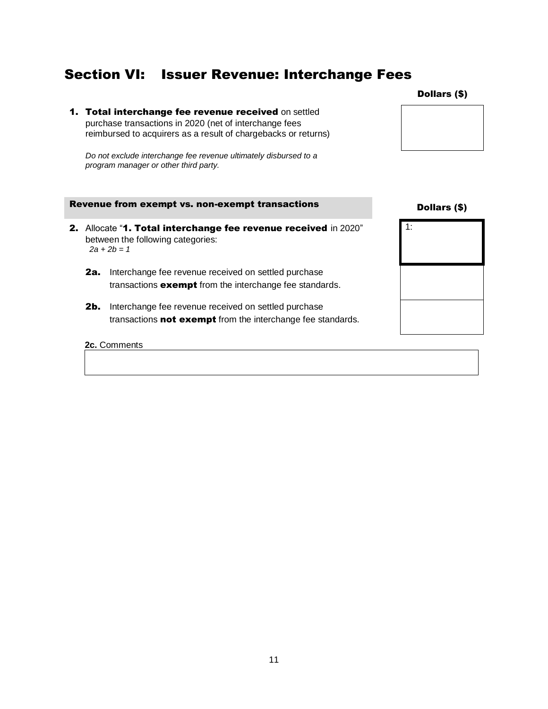### Section VI: Issuer Revenue: Interchange Fees

- 1. Total interchange fee revenue received on settled purchase transactions in 2020 (net of interchange fees reimbursed to acquirers as a result of chargebacks or returns) *Do not exclude interchange fee revenue ultimately disbursed to a program manager or other third party.* Revenue from exempt vs. non-exempt transactions and all collars (\$)
- 2. Allocate "1. Total interchange fee revenue received in 2020" between the following categories: *2a + 2b = 1*
	- 2a. Interchange fee revenue received on settled purchase transactions **exempt** from the interchange fee standards.
	- 2b. Interchange fee revenue received on settled purchase transactions **not exempt** from the interchange fee standards.

#### **2c.** Comments





1: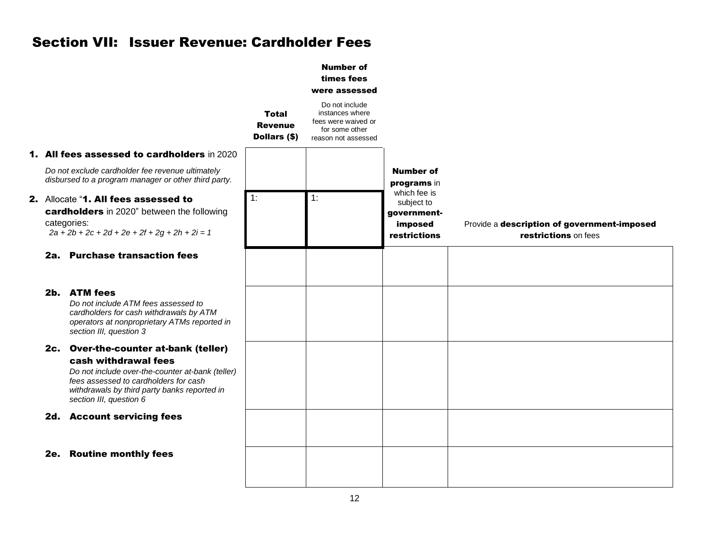### Section VII: Issuer Revenue: Cardholder Fees

|     |                                                                                                                                                                                                                                       |                                         | <b>Number of</b><br>times fees<br>were assessed                                                   |                                                                      |                                                                     |
|-----|---------------------------------------------------------------------------------------------------------------------------------------------------------------------------------------------------------------------------------------|-----------------------------------------|---------------------------------------------------------------------------------------------------|----------------------------------------------------------------------|---------------------------------------------------------------------|
|     |                                                                                                                                                                                                                                       | Total<br><b>Revenue</b><br>Dollars (\$) | Do not include<br>instances where<br>fees were waived or<br>for some other<br>reason not assessed |                                                                      |                                                                     |
|     | 1. All fees assessed to cardholders in 2020                                                                                                                                                                                           |                                         |                                                                                                   |                                                                      |                                                                     |
|     | Do not exclude cardholder fee revenue ultimately<br>disbursed to a program manager or other third party.                                                                                                                              |                                         |                                                                                                   | <b>Number of</b><br>programs in                                      |                                                                     |
|     | 2. Allocate "1. All fees assessed to<br>cardholders in 2020" between the following<br>categories:<br>$2a + 2b + 2c + 2d + 2e + 2f + 2g + 2h + 2i = 1$                                                                                 | 1:                                      | 1:                                                                                                | which fee is<br>subject to<br>government-<br>imposed<br>restrictions | Provide a description of government-imposed<br>restrictions on fees |
|     | 2a. Purchase transaction fees                                                                                                                                                                                                         |                                         |                                                                                                   |                                                                      |                                                                     |
|     | 2b. ATM fees<br>Do not include ATM fees assessed to<br>cardholders for cash withdrawals by ATM<br>operators at nonproprietary ATMs reported in<br>section III, question 3                                                             |                                         |                                                                                                   |                                                                      |                                                                     |
|     | 2c. Over-the-counter at-bank (teller)<br>cash withdrawal fees<br>Do not include over-the-counter at-bank (teller)<br>fees assessed to cardholders for cash<br>withdrawals by third party banks reported in<br>section III, question 6 |                                         |                                                                                                   |                                                                      |                                                                     |
|     | 2d. Account servicing fees                                                                                                                                                                                                            |                                         |                                                                                                   |                                                                      |                                                                     |
| 2e. | <b>Routine monthly fees</b>                                                                                                                                                                                                           |                                         |                                                                                                   |                                                                      |                                                                     |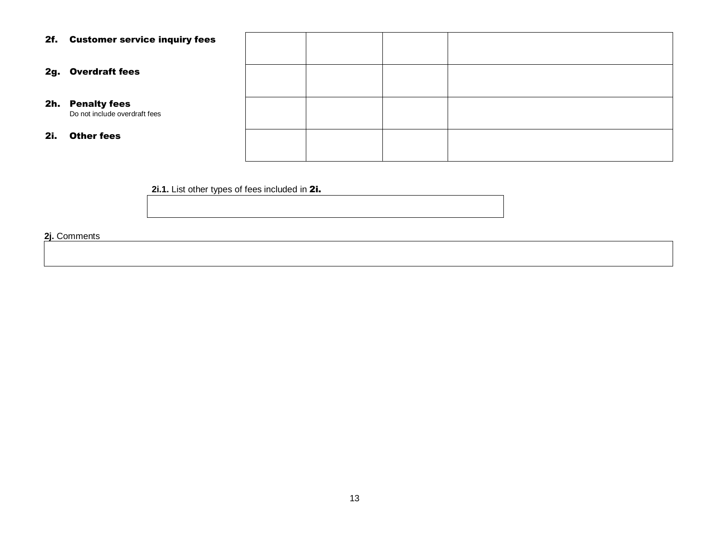### 2f. Customer service inquiry fees

### 2g. Overdraft fees

#### 2h. Penalty fees Do not include overdraft fees

#### 2i. Other fees

**2i.1.** List other types of fees included in 2i.

**2j.** Comments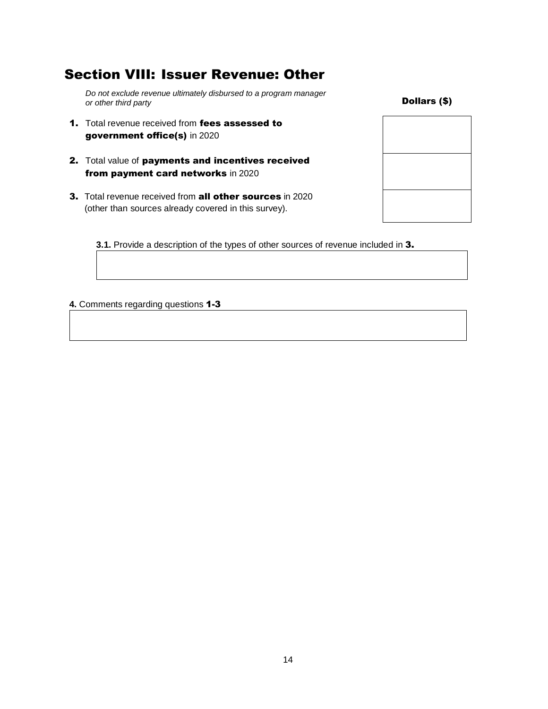### Section VIII: Issuer Revenue: Other

*Do not exclude revenue ultimately disbursed to a program manager or other third party* Dollars (\$)

1. Total revenue received from fees assessed to government office(s) in 2020

- 2. Total value of payments and incentives received from payment card networks in 2020
- 3. Total revenue received from all other sources in 2020 (other than sources already covered in this survey).

 **3.1.** Provide a description of the types of other sources of revenue included in 3.

**4.** Comments regarding questions 1-3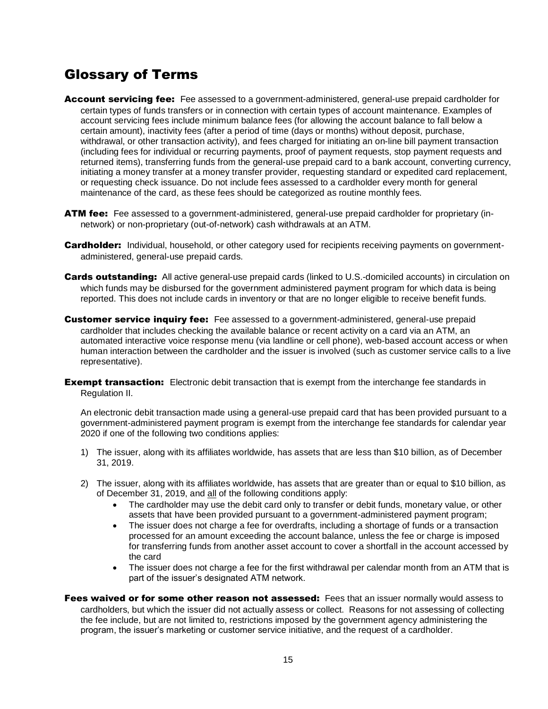### Glossary of Terms

- Account servicing fee: Fee assessed to a government-administered, general-use prepaid cardholder for certain types of funds transfers or in connection with certain types of account maintenance. Examples of account servicing fees include minimum balance fees (for allowing the account balance to fall below a certain amount), inactivity fees (after a period of time (days or months) without deposit, purchase, withdrawal, or other transaction activity), and fees charged for initiating an on-line bill payment transaction (including fees for individual or recurring payments, proof of payment requests, stop payment requests and returned items), transferring funds from the general-use prepaid card to a bank account, converting currency, initiating a money transfer at a money transfer provider, requesting standard or expedited card replacement, or requesting check issuance. Do not include fees assessed to a cardholder every month for general maintenance of the card, as these fees should be categorized as routine monthly fees.
- ATM fee: Fee assessed to a government-administered, general-use prepaid cardholder for proprietary (innetwork) or non-proprietary (out-of-network) cash withdrawals at an ATM.
- **Cardholder:** Individual, household, or other category used for recipients receiving payments on governmentadministered, general-use prepaid cards.
- **Cards outstanding:** All active general-use prepaid cards (linked to U.S.-domiciled accounts) in circulation on which funds may be disbursed for the government administered payment program for which data is being reported. This does not include cards in inventory or that are no longer eligible to receive benefit funds.
- **Customer service inquiry fee:** Fee assessed to a government-administered, general-use prepaid cardholder that includes checking the available balance or recent activity on a card via an ATM, an automated interactive voice response menu (via landline or cell phone), web-based account access or when human interaction between the cardholder and the issuer is involved (such as customer service calls to a live representative).
- **Exempt transaction:** Electronic debit transaction that is exempt from the interchange fee standards in Regulation II.

An electronic debit transaction made using a general-use prepaid card that has been provided pursuant to a government-administered payment program is exempt from the interchange fee standards for calendar year 2020 if one of the following two conditions applies:

- 1) The issuer, along with its affiliates worldwide, has assets that are less than \$10 billion, as of December 31, 2019.
- 2) The issuer, along with its affiliates worldwide, has assets that are greater than or equal to \$10 billion, as of December 31, 2019, and all of the following conditions apply:
	- The cardholder may use the debit card only to transfer or debit funds, monetary value, or other assets that have been provided pursuant to a government-administered payment program;
	- The issuer does not charge a fee for overdrafts, including a shortage of funds or a transaction processed for an amount exceeding the account balance, unless the fee or charge is imposed for transferring funds from another asset account to cover a shortfall in the account accessed by the card
	- The issuer does not charge a fee for the first withdrawal per calendar month from an ATM that is part of the issuer's designated ATM network.
- Fees waived or for some other reason not assessed: Fees that an issuer normally would assess to cardholders, but which the issuer did not actually assess or collect. Reasons for not assessing of collecting the fee include, but are not limited to, restrictions imposed by the government agency administering the program, the issuer's marketing or customer service initiative, and the request of a cardholder.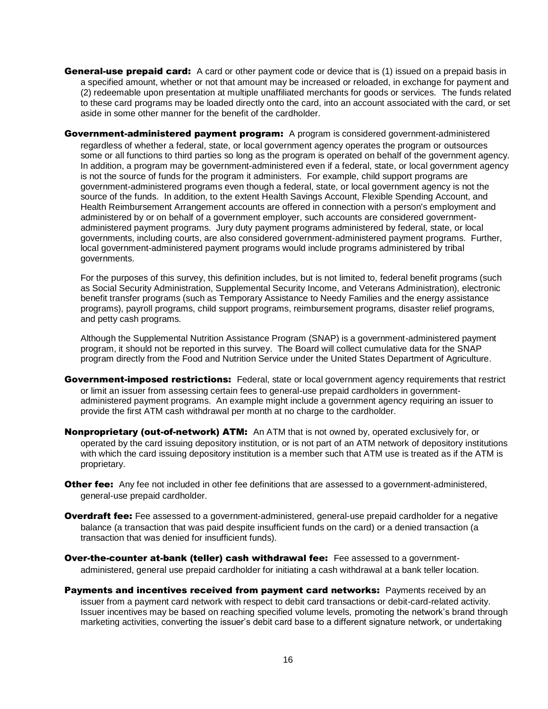- **General-use prepaid card:** A card or other payment code or device that is (1) issued on a prepaid basis in a specified amount, whether or not that amount may be increased or reloaded, in exchange for payment and (2) redeemable upon presentation at multiple unaffiliated merchants for goods or services. The funds related to these card programs may be loaded directly onto the card, into an account associated with the card, or set aside in some other manner for the benefit of the cardholder.
- Government-administered payment program: A program is considered government-administered regardless of whether a federal, state, or local government agency operates the program or outsources some or all functions to third parties so long as the program is operated on behalf of the government agency. In addition, a program may be government-administered even if a federal, state, or local government agency is not the source of funds for the program it administers. For example, child support programs are government-administered programs even though a federal, state, or local government agency is not the source of the funds. In addition, to the extent Health Savings Account, Flexible Spending Account, and Health Reimbursement Arrangement accounts are offered in connection with a person's employment and administered by or on behalf of a government employer, such accounts are considered governmentadministered payment programs. Jury duty payment programs administered by federal, state, or local governments, including courts, are also considered government-administered payment programs. Further, local government-administered payment programs would include programs administered by tribal governments.

For the purposes of this survey, this definition includes, but is not limited to, federal benefit programs (such as Social Security Administration, Supplemental Security Income, and Veterans Administration), electronic benefit transfer programs (such as Temporary Assistance to Needy Families and the energy assistance programs), payroll programs, child support programs, reimbursement programs, disaster relief programs, and petty cash programs.

Although the Supplemental Nutrition Assistance Program (SNAP) is a government-administered payment program, it should not be reported in this survey. The Board will collect cumulative data for the SNAP program directly from the Food and Nutrition Service under the United States Department of Agriculture.

- Government-imposed restrictions: Federal, state or local government agency requirements that restrict or limit an issuer from assessing certain fees to general-use prepaid cardholders in governmentadministered payment programs. An example might include a government agency requiring an issuer to provide the first ATM cash withdrawal per month at no charge to the cardholder.
- Nonproprietary (out-of-network) ATM: An ATM that is not owned by, operated exclusively for, or operated by the card issuing depository institution, or is not part of an ATM network of depository institutions with which the card issuing depository institution is a member such that ATM use is treated as if the ATM is proprietary.
- **Other fee:** Any fee not included in other fee definitions that are assessed to a government-administered, general-use prepaid cardholder.
- **Overdraft fee:** Fee assessed to a government-administered, general-use prepaid cardholder for a negative balance (a transaction that was paid despite insufficient funds on the card) or a denied transaction (a transaction that was denied for insufficient funds).
- Over-the-counter at-bank (teller) cash withdrawal fee: Fee assessed to a governmentadministered, general use prepaid cardholder for initiating a cash withdrawal at a bank teller location.
- Payments and incentives received from payment card networks: Payments received by an issuer from a payment card network with respect to debit card transactions or debit-card-related activity. Issuer incentives may be based on reaching specified volume levels, promoting the network's brand through marketing activities, converting the issuer's debit card base to a different signature network, or undertaking